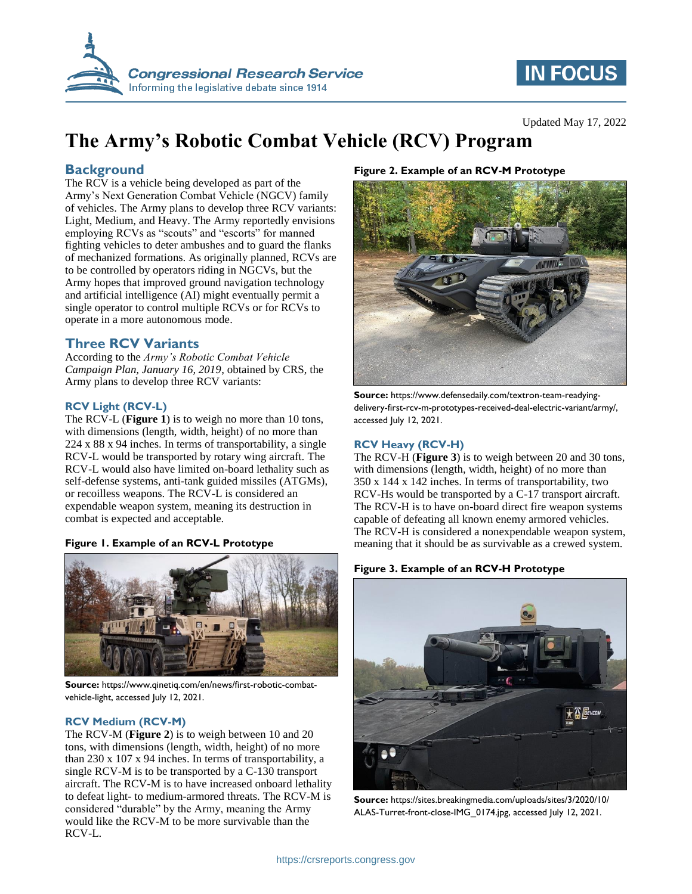

# **IN FOCUS**

# **The Army's Robotic Combat Vehicle (RCV) Program**

### **Background**

The RCV is a vehicle being developed as part of the Army's Next Generation Combat Vehicle (NGCV) family of vehicles. The Army plans to develop three RCV variants: Light, Medium, and Heavy. The Army reportedly envisions employing RCVs as "scouts" and "escorts" for manned fighting vehicles to deter ambushes and to guard the flanks of mechanized formations. As originally planned, RCVs are to be controlled by operators riding in NGCVs, but the Army hopes that improved ground navigation technology and artificial intelligence (AI) might eventually permit a single operator to control multiple RCVs or for RCVs to operate in a more autonomous mode.

### **Three RCV Variants**

According to the *Army's Robotic Combat Vehicle Campaign Plan, January 16, 2019*, obtained by CRS, the Army plans to develop three RCV variants:

#### **RCV Light (RCV-L)**

The RCV-L (**[Figure 1](#page-0-0)**) is to weigh no more than 10 tons, with dimensions (length, width, height) of no more than 224 x 88 x 94 inches. In terms of transportability, a single RCV-L would be transported by rotary wing aircraft. The RCV-L would also have limited on-board lethality such as self-defense systems, anti-tank guided missiles (ATGMs), or recoilless weapons. The RCV-L is considered an expendable weapon system, meaning its destruction in combat is expected and acceptable.

#### <span id="page-0-0"></span>**Figure 1. Example of an RCV-L Prototype**



**Source:** https://www.qinetiq.com/en/news/first-robotic-combatvehicle-light, accessed July 12, 2021.

#### **RCV Medium (RCV-M)**

The RCV-M (**[Figure 2](#page-0-1)**) is to weigh between 10 and 20 tons, with dimensions (length, width, height) of no more than 230 x 107 x 94 inches. In terms of transportability, a single RCV-M is to be transported by a C-130 transport aircraft. The RCV-M is to have increased onboard lethality to defeat light- to medium-armored threats. The RCV-M is considered "durable" by the Army, meaning the Army would like the RCV-M to be more survivable than the RCV-L.

#### <span id="page-0-1"></span>**Figure 2. Example of an RCV-M Prototype**



**Source:** https://www.defensedaily.com/textron-team-readyingdelivery-first-rcv-m-prototypes-received-deal-electric-variant/army/, accessed July 12, 2021.

#### **RCV Heavy (RCV-H)**

The RCV-H (**[Figure 3](#page-0-2)**) is to weigh between 20 and 30 tons, with dimensions (length, width, height) of no more than 350 x 144 x 142 inches. In terms of transportability, two RCV-Hs would be transported by a C-17 transport aircraft. The RCV-H is to have on-board direct fire weapon systems capable of defeating all known enemy armored vehicles. The RCV-H is considered a nonexpendable weapon system, meaning that it should be as survivable as a crewed system.

#### <span id="page-0-2"></span>**Figure 3. Example of an RCV-H Prototype**



**Source:** https://sites.breakingmedia.com/uploads/sites/3/2020/10/ ALAS-Turret-front-close-IMG\_0174.jpg, accessed July 12, 2021.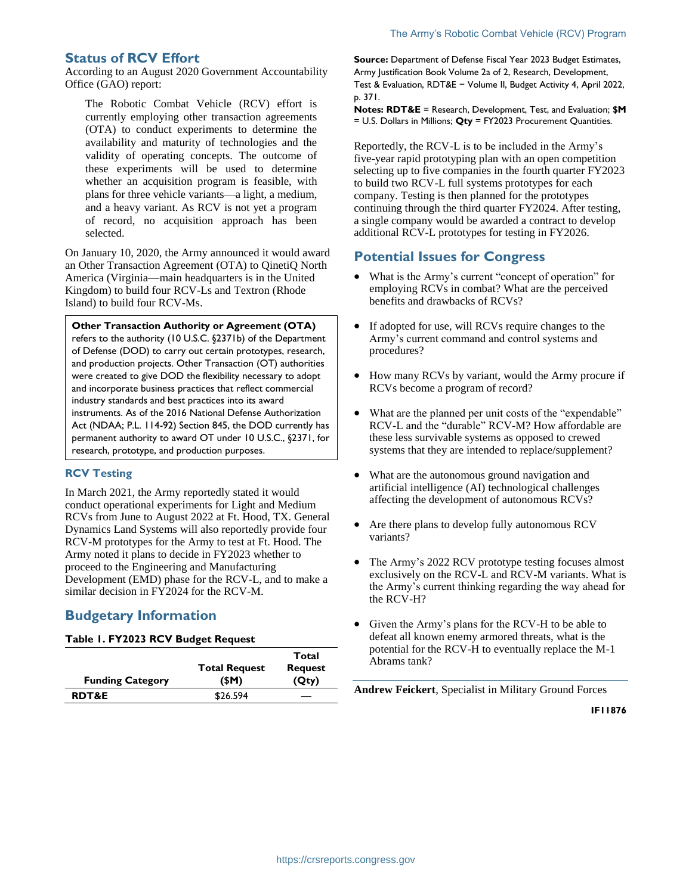### **Status of RCV Effort**

According to an August 2020 Government Accountability Office (GAO) report:

The Robotic Combat Vehicle (RCV) effort is currently employing other transaction agreements (OTA) to conduct experiments to determine the availability and maturity of technologies and the validity of operating concepts. The outcome of these experiments will be used to determine whether an acquisition program is feasible, with plans for three vehicle variants—a light, a medium, and a heavy variant. As RCV is not yet a program of record, no acquisition approach has been selected.

On January 10, 2020, the Army announced it would award an Other Transaction Agreement (OTA) to QinetiQ North America (Virginia—main headquarters is in the United Kingdom) to build four RCV-Ls and Textron (Rhode Island) to build four RCV-Ms.

#### **Other Transaction Authority or Agreement (OTA)**

refers to the authority (10 U.S.C. §2371b) of the Department of Defense (DOD) to carry out certain prototypes, research, and production projects. Other Transaction (OT) authorities were created to give DOD the flexibility necessary to adopt and incorporate business practices that reflect commercial industry standards and best practices into its award instruments. As of the 2016 National Defense Authorization Act (NDAA; P.L. 114-92) Section 845, the DOD currently has permanent authority to award OT under 10 U.S.C., §2371, for research, prototype, and production purposes.

#### **RCV Testing**

In March 2021, the Army reportedly stated it would conduct operational experiments for Light and Medium RCVs from June to August 2022 at Ft. Hood, TX. General Dynamics Land Systems will also reportedly provide four RCV-M prototypes for the Army to test at Ft. Hood. The Army noted it plans to decide in FY2023 whether to proceed to the Engineering and Manufacturing Development (EMD) phase for the RCV-L, and to make a similar decision in FY2024 for the RCV-M.

## **Budgetary Information**

#### **Table 1. FY2023 RCV Budget Request**

|                         |                      | Total          |
|-------------------------|----------------------|----------------|
|                         | <b>Total Request</b> | <b>Request</b> |
| <b>Funding Category</b> | (SM)                 | (Qty)          |
| <b>RDT&amp;E</b>        | \$26.594             |                |

**Source:** Department of Defense Fiscal Year 2023 Budget Estimates, Army Justification Book Volume 2a of 2, Research, Development, Test & Evaluation, RDT&E − Volume II, Budget Activity 4, April 2022, p. 371.

**Notes: RDT&E** = Research, Development, Test, and Evaluation; **\$M** = U.S. Dollars in Millions; **Qty** = FY2023 Procurement Quantities.

Reportedly, the RCV-L is to be included in the Army's five-year rapid prototyping plan with an open competition selecting up to five companies in the fourth quarter FY2023 to build two RCV-L full systems prototypes for each company. Testing is then planned for the prototypes continuing through the third quarter FY2024. After testing, a single company would be awarded a contract to develop additional RCV-L prototypes for testing in FY2026.

### **Potential Issues for Congress**

- What is the Army's current "concept of operation" for employing RCVs in combat? What are the perceived benefits and drawbacks of RCVs?
- If adopted for use, will RCVs require changes to the Army's current command and control systems and procedures?
- How many RCVs by variant, would the Army procure if RCVs become a program of record?
- What are the planned per unit costs of the "expendable" RCV-L and the "durable" RCV-M? How affordable are these less survivable systems as opposed to crewed systems that they are intended to replace/supplement?
- What are the autonomous ground navigation and artificial intelligence (AI) technological challenges affecting the development of autonomous RCVs?
- Are there plans to develop fully autonomous RCV variants?
- The Army's 2022 RCV prototype testing focuses almost exclusively on the RCV-L and RCV-M variants. What is the Army's current thinking regarding the way ahead for the RCV-H?
- Given the Army's plans for the RCV-H to be able to defeat all known enemy armored threats, what is the potential for the RCV-H to eventually replace the M-1 Abrams tank?

**Andrew Feickert**, Specialist in Military Ground Forces

**IF11876**